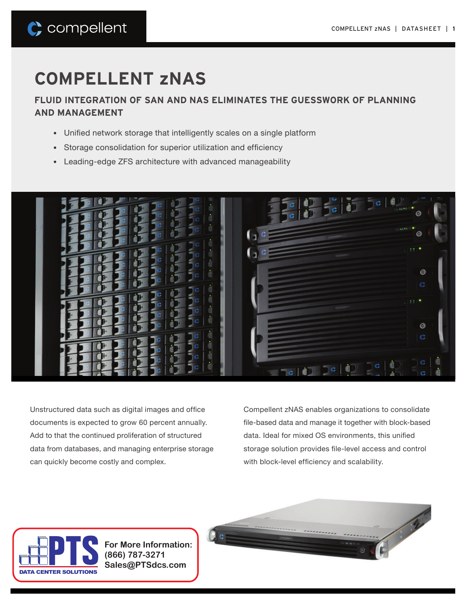# C compellent

# **COMPELLENT zNAS**

**FLUID INTEGRATION OF SAN AND NAS ELIMINATES THE GUESSWORK OF PLANNING AND MANAGEMENT**

- Unified network storage that intelligently scales on a single platform
- Storage consolidation for superior utilization and efficiency
- Leading-edge ZFS architecture with advanced manageability



Unstructured data such as digital images and office documents is expected to grow 60 percent annually. Add to that the continued proliferation of structured data from databases, and managing enterprise storage can quickly become costly and complex.

Compellent zNAS enables organizations to consolidate file-based data and manage it together with block-based data. Ideal for mixed OS environments, this unified storage solution provides file-level access and control with block-level efficiency and scalability.



**For More Information: (866) 787-3271 Sales@PTSdcs.com**